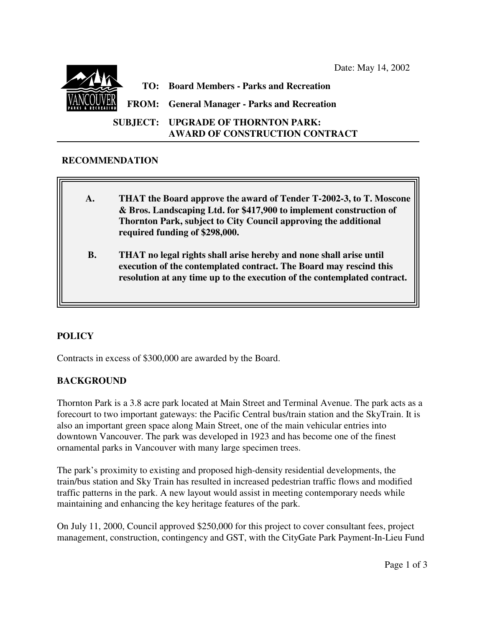Date: May 14, 2002



#### **RECOMMENDATION**

- **A. THAT the Board approve the award of Tender T-2002-3, to T. Moscone & Bros. Landscaping Ltd. for \$417,900 to implement construction of Thornton Park, subject to City Council approving the additional required funding of \$298,000.**
- **B. THAT no legal rights shall arise hereby and none shall arise until execution of the contemplated contract. The Board may rescind this resolution at any time up to the execution of the contemplated contract.**

# **POLICY**

 $\overline{\phantom{a}}$ 

Contracts in excess of \$300,000 are awarded by the Board.

### **BACKGROUND**

Thornton Park is a 3.8 acre park located at Main Street and Terminal Avenue. The park acts as a forecourt to two important gateways: the Pacific Central bus/train station and the SkyTrain. It is also an important green space along Main Street, one of the main vehicular entries into downtown Vancouver. The park was developed in 1923 and has become one of the finest ornamental parks in Vancouver with many large specimen trees.

The park's proximity to existing and proposed high-density residential developments, the train/bus station and Sky Train has resulted in increased pedestrian traffic flows and modified traffic patterns in the park. A new layout would assist in meeting contemporary needs while maintaining and enhancing the key heritage features of the park.

On July 11, 2000, Council approved \$250,000 for this project to cover consultant fees, project management, construction, contingency and GST, with the CityGate Park Payment-In-Lieu Fund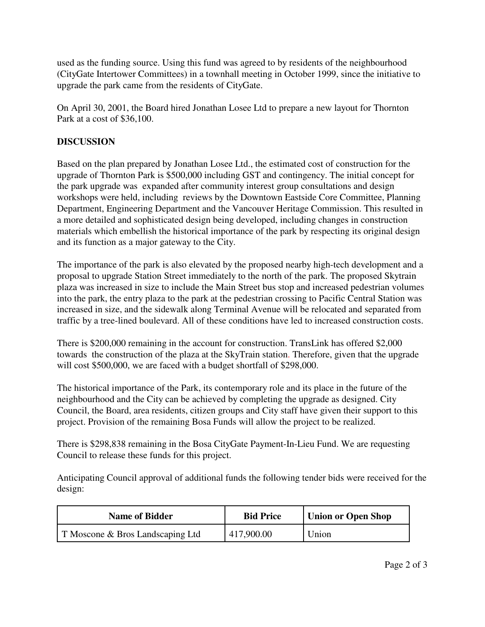used as the funding source. Using this fund was agreed to by residents of the neighbourhood (CityGate Intertower Committees) in a townhall meeting in October 1999, since the initiative to upgrade the park came from the residents of CityGate.

On April 30, 2001, the Board hired Jonathan Losee Ltd to prepare a new layout for Thornton Park at a cost of \$36,100.

# **DISCUSSION**

Based on the plan prepared by Jonathan Losee Ltd., the estimated cost of construction for the upgrade of Thornton Park is \$500,000 including GST and contingency. The initial concept for the park upgrade was expanded after community interest group consultations and design workshops were held, including reviews by the Downtown Eastside Core Committee, Planning Department, Engineering Department and the Vancouver Heritage Commission. This resulted in a more detailed and sophisticated design being developed, including changes in construction materials which embellish the historical importance of the park by respecting its original design and its function as a major gateway to the City.

The importance of the park is also elevated by the proposed nearby high-tech development and a proposal to upgrade Station Street immediately to the north of the park. The proposed Skytrain plaza was increased in size to include the Main Street bus stop and increased pedestrian volumes into the park, the entry plaza to the park at the pedestrian crossing to Pacific Central Station was increased in size, and the sidewalk along Terminal Avenue will be relocated and separated from traffic by a tree-lined boulevard. All of these conditions have led to increased construction costs.

There is \$200,000 remaining in the account for construction. TransLink has offered \$2,000 towards the construction of the plaza at the SkyTrain station. Therefore, given that the upgrade will cost \$500,000, we are faced with a budget shortfall of \$298,000.

The historical importance of the Park, its contemporary role and its place in the future of the neighbourhood and the City can be achieved by completing the upgrade as designed. City Council, the Board, area residents, citizen groups and City staff have given their support to this project. Provision of the remaining Bosa Funds will allow the project to be realized.

There is \$298,838 remaining in the Bosa CityGate Payment-In-Lieu Fund. We are requesting Council to release these funds for this project.

Anticipating Council approval of additional funds the following tender bids were received for the design:

| <b>Name of Bidder</b>            | <b>Bid Price</b> | <b>Union or Open Shop</b> |
|----------------------------------|------------------|---------------------------|
| T Moscone & Bros Landscaping Ltd | 417,900.00       | Union                     |